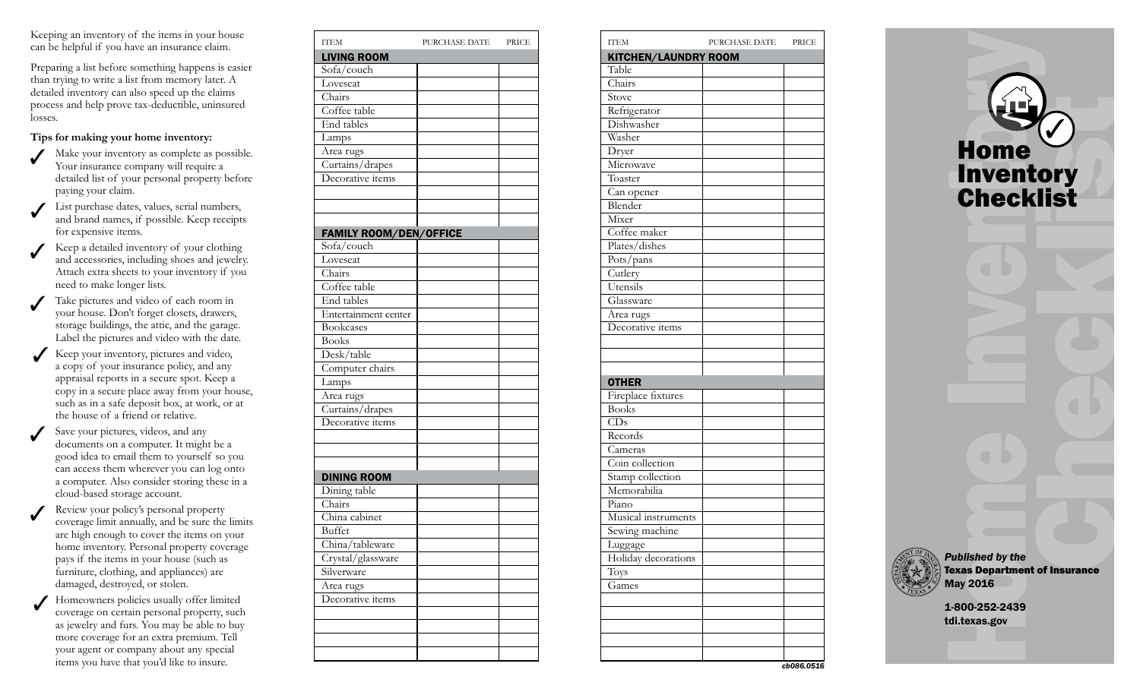Keeping an inventory of the items in your house can be helpful if you have an insurance claim.

Preparing a list before something happens is easier than trying to write a list from memory later. A detailed inventory can also speed up the claims process and help prove tax-deductible, uninsured losses.

## **Tips for making your home inventory:**

- Make your inventory as complete as possible. Your insurance company will require a detailed list of your personal property before paying your claim.
- List purchase dates, values, serial numbers, and brand names, if possible. Keep receipts for expensive items.
- Keep a detailed inventory of your clothing and accessories, including shoes and jewelry. Attach extra sheets to your inventory if you need to make longer lists.
- Take pictures and video of each room in your house. Don't forget closets, drawers, storage buildings, the attic, and the garage. Label the pictures and video with the date.
- Keep your inventory, pictures and video, a copy of your insurance policy, and any appraisal reports in a secure spot. Keep a copy in a secure place away from your house, such as in a safe deposit box, at work, or at the house of a friend or relative.
- Save your pictures, videos, and any documents on a computer. It might be a good idea to email them to yourself so you can access them wherever you can log onto a computer. Also consider storing these in a cloud-based storage account.
- Review your policy's personal property coverage limit annually, and be sure the limits are high enough to cover the items on your home inventory. Personal property coverage pays if the items in your house (such as furniture, clothing, and appliances) are damaged, destroyed, or stolen.
- Homeowners policies usually offer limited coverage on certain personal property, such as jewelry and furs. You may be able to buy more coverage for an extra premium. Tell your agent or company about any special items you have that you'd like to insure.

| <b>ITEM</b>                   | PURCHASE DATE | PRICE |
|-------------------------------|---------------|-------|
| <b>LIVING ROOM</b>            |               |       |
| Sofa/couch                    |               |       |
| Loveseat                      |               |       |
| Chairs                        |               |       |
| Coffee table                  |               |       |
| End tables                    |               |       |
| Lamps                         |               |       |
| Area rugs                     |               |       |
| Curtains/drapes               |               |       |
| Decorative items              |               |       |
|                               |               |       |
|                               |               |       |
|                               |               |       |
| <b>FAMILY ROOM/DEN/OFFICE</b> |               |       |
| Sofa/couch                    |               |       |
| Loveseat                      |               |       |
| Chairs                        |               |       |
| Coffee table                  |               |       |
| End tables                    |               |       |
| Entertainment center          |               |       |
| <b>Bookcases</b>              |               |       |
| <b>Books</b>                  |               |       |
| Desk/table                    |               |       |
| Computer chairs               |               |       |
| Lamps                         |               |       |
| Area rugs                     |               |       |
| Curtains/drapes               |               |       |
| Decorative items              |               |       |
|                               |               |       |
|                               |               |       |
|                               |               |       |
| <b>DINING ROOM</b>            |               |       |
| Dining table                  |               |       |
| Chairs                        |               |       |
| China cabinet                 |               |       |
| Buffet                        |               |       |
| China/tableware               |               |       |
| Crystal/glassware             |               |       |
| Silverware                    |               |       |
| Area rugs                     |               |       |
| Decorative items              |               |       |
|                               |               |       |
|                               |               |       |
|                               |               |       |
|                               |               |       |

| <b>ITEM</b>          | PURCHASE DATE | PRICE             |
|----------------------|---------------|-------------------|
| KITCHEN/LAUNDRY ROOM |               |                   |
| Table                |               |                   |
| Chairs               |               |                   |
| Stove                |               |                   |
| Refrigerator         |               |                   |
| Dishwasher           |               |                   |
| Washer               |               |                   |
| Dryer                |               |                   |
| Microwave            |               |                   |
| Toaster              |               |                   |
| Can opener           |               |                   |
| Blender              |               |                   |
| Mixer                |               |                   |
| Coffee maker         |               |                   |
| Plates/dishes        |               |                   |
| Pots/pans            |               |                   |
| Cutlery              |               |                   |
| Utensils             |               |                   |
| Glassware            |               |                   |
| Area rugs            |               |                   |
| Decorative items     |               |                   |
|                      |               |                   |
|                      |               |                   |
|                      |               |                   |
| <b>OTHER</b>         |               |                   |
| Fireplace fixtures   |               |                   |
| <b>Books</b>         |               |                   |
| $\overline{CD}$ s    |               |                   |
| Records              |               |                   |
| Cameras              |               |                   |
| Coin collection      |               |                   |
| Stamp collection     |               |                   |
| Memorabilia          |               |                   |
| Piano                |               |                   |
| Musical instruments  |               |                   |
| Sewing machine       |               |                   |
| Luggage              |               |                   |
| Holiday decorations  |               |                   |
| Toys                 |               |                   |
| Games                |               |                   |
|                      |               |                   |
|                      |               |                   |
|                      |               |                   |
|                      |               |                   |
|                      |               |                   |
|                      |               | <b>-hNRG N516</b> |



*cb086.0516*